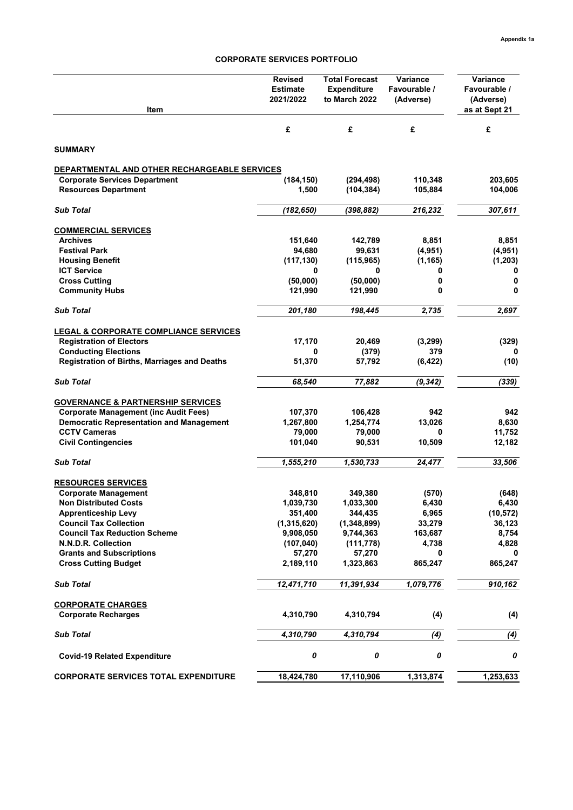#### **CORPORATE SERVICES PORTFOLIO**

| Item                                                | <b>Revised</b><br><b>Estimate</b><br>2021/2022 | <b>Total Forecast</b><br><b>Expenditure</b><br>to March 2022 | Variance<br>Favourable /<br>(Adverse) | Variance<br>Favourable /<br>(Adverse)<br>as at Sept 21 |
|-----------------------------------------------------|------------------------------------------------|--------------------------------------------------------------|---------------------------------------|--------------------------------------------------------|
|                                                     | £                                              | £                                                            | £                                     | £                                                      |
| <b>SUMMARY</b>                                      |                                                |                                                              |                                       |                                                        |
| DEPARTMENTAL AND OTHER RECHARGEABLE SERVICES        |                                                |                                                              |                                       |                                                        |
| <b>Corporate Services Department</b>                | (184, 150)                                     | (294, 498)                                                   | 110,348                               | 203,605                                                |
| <b>Resources Department</b>                         | 1,500                                          | (104, 384)                                                   | 105,884                               | 104,006                                                |
| <b>Sub Total</b>                                    | (182, 650)                                     | (398, 882)                                                   | 216,232                               | 307,611                                                |
| <b>COMMERCIAL SERVICES</b>                          |                                                |                                                              |                                       |                                                        |
| <b>Archives</b>                                     | 151,640                                        | 142,789                                                      | 8,851                                 | 8,851                                                  |
| <b>Festival Park</b>                                | 94,680                                         | 99,631                                                       | (4, 951)                              | (4, 951)                                               |
| <b>Housing Benefit</b>                              | (117, 130)                                     | (115, 965)                                                   | (1, 165)                              | (1, 203)                                               |
| <b>ICT Service</b>                                  | 0                                              | 0                                                            | 0                                     | 0                                                      |
| <b>Cross Cutting</b>                                | (50,000)                                       | (50,000)                                                     | 0                                     | 0                                                      |
| <b>Community Hubs</b>                               | 121,990                                        | 121,990                                                      | 0                                     | 0                                                      |
| <b>Sub Total</b>                                    | 201,180                                        | 198,445                                                      | 2,735                                 | 2,697                                                  |
| <b>LEGAL &amp; CORPORATE COMPLIANCE SERVICES</b>    |                                                |                                                              |                                       |                                                        |
| <b>Registration of Electors</b>                     | 17,170                                         | 20,469                                                       | (3, 299)                              | (329)                                                  |
| <b>Conducting Elections</b>                         | 0                                              | (379)                                                        | 379                                   |                                                        |
| <b>Registration of Births, Marriages and Deaths</b> | 51,370                                         | 57,792                                                       | (6, 422)                              | (10)                                                   |
| <b>Sub Total</b>                                    | 68,540                                         | 77,882                                                       | (9, 342)                              | (339)                                                  |
| <b>GOVERNANCE &amp; PARTNERSHIP SERVICES</b>        |                                                |                                                              |                                       |                                                        |
| <b>Corporate Management (inc Audit Fees)</b>        | 107,370                                        | 106,428                                                      | 942                                   | 942                                                    |
| <b>Democratic Representation and Management</b>     | 1,267,800                                      | 1,254,774                                                    | 13,026                                | 8,630                                                  |
| <b>CCTV Cameras</b>                                 | 79,000                                         | 79,000                                                       | 0                                     | 11,752                                                 |
| <b>Civil Contingencies</b>                          | 101,040                                        | 90,531                                                       | 10,509                                | 12,182                                                 |
| <b>Sub Total</b>                                    | 1,555,210                                      | 1,530,733                                                    | 24,477                                | 33,506                                                 |
| <b>RESOURCES SERVICES</b>                           |                                                |                                                              |                                       |                                                        |
| <b>Corporate Management</b>                         | 348,810                                        | 349,380                                                      | (570)                                 | (648)                                                  |
| <b>Non Distributed Costs</b>                        | 1,039,730                                      | 1,033,300                                                    | 6,430                                 | 6,430                                                  |
| <b>Apprenticeship Levy</b>                          | 351,400                                        | 344,435                                                      | 6,965                                 | (10, 572)                                              |
| <b>Council Tax Collection</b>                       | (1,315,620)                                    | (1,348,899)                                                  | 33,279                                | 36,123                                                 |
| <b>Council Tax Reduction Scheme</b>                 | 9,908,050                                      | 9,744,363                                                    | 163,687                               | 8,754                                                  |
| N.N.D.R. Collection                                 | (107, 040)                                     | (111, 778)                                                   | 4,738                                 | 4,828                                                  |
| <b>Grants and Subscriptions</b>                     | 57,270                                         | 57,270                                                       | 0                                     | 0                                                      |
| <b>Cross Cutting Budget</b>                         | 2,189,110                                      | 1,323,863                                                    | 865,247                               | 865,247                                                |
| <b>Sub Total</b>                                    | 12,471,710                                     | 11,391,934                                                   | 1,079,776                             | 910,162                                                |
| <b>CORPORATE CHARGES</b>                            |                                                |                                                              |                                       |                                                        |
| <b>Corporate Recharges</b>                          | 4,310,790                                      | 4,310,794                                                    | (4)                                   | (4)                                                    |
| <b>Sub Total</b>                                    | 4,310,790                                      | 4,310,794                                                    | (4)                                   | (4)                                                    |
| <b>Covid-19 Related Expenditure</b>                 | 0                                              | 0                                                            | 0                                     | 0                                                      |
| <b>CORPORATE SERVICES TOTAL EXPENDITURE</b>         | 18,424,780                                     | 17,110,906                                                   | 1,313,874                             | 1,253,633                                              |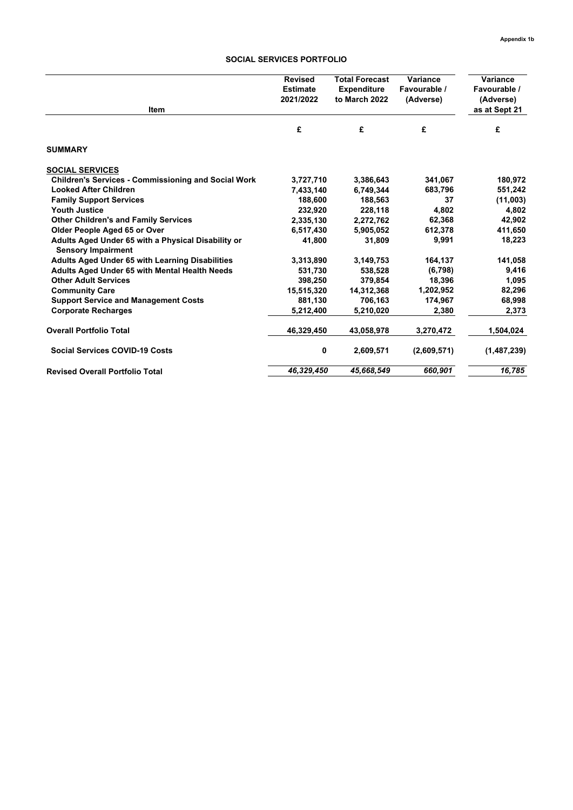#### **SOCIAL SERVICES PORTFOLIO**

| <b>Item</b>                                                                     | <b>Revised</b><br><b>Estimate</b><br>2021/2022 | <b>Total Forecast</b><br><b>Expenditure</b><br>to March 2022 | Variance<br>Favourable /<br>(Adverse) | Variance<br>Favourable /<br>(Adverse)<br>as at Sept 21 |
|---------------------------------------------------------------------------------|------------------------------------------------|--------------------------------------------------------------|---------------------------------------|--------------------------------------------------------|
|                                                                                 | £                                              | £                                                            | £                                     | £                                                      |
| <b>SUMMARY</b>                                                                  |                                                |                                                              |                                       |                                                        |
| <b>SOCIAL SERVICES</b>                                                          |                                                |                                                              |                                       |                                                        |
| <b>Children's Services - Commissioning and Social Work</b>                      | 3,727,710                                      | 3,386,643                                                    | 341,067                               | 180,972                                                |
| <b>Looked After Children</b>                                                    | 7,433,140                                      | 6,749,344                                                    | 683,796                               | 551,242                                                |
| <b>Family Support Services</b>                                                  | 188,600                                        | 188,563                                                      | 37                                    | (11,003)                                               |
| <b>Youth Justice</b>                                                            | 232,920                                        | 228,118                                                      | 4,802                                 | 4,802                                                  |
| <b>Other Children's and Family Services</b>                                     | 2,335,130                                      | 2,272,762                                                    | 62,368                                | 42,902                                                 |
| Older People Aged 65 or Over                                                    | 6,517,430                                      | 5,905,052                                                    | 612.378                               | 411,650                                                |
| Adults Aged Under 65 with a Physical Disability or<br><b>Sensory Impairment</b> | 41.800                                         | 31,809                                                       | 9,991                                 | 18,223                                                 |
| Adults Aged Under 65 with Learning Disabilities                                 | 3,313,890                                      | 3,149,753                                                    | 164,137                               | 141,058                                                |
| <b>Adults Aged Under 65 with Mental Health Needs</b>                            | 531,730                                        | 538.528                                                      | (6, 798)                              | 9,416                                                  |
| <b>Other Adult Services</b>                                                     | 398,250                                        | 379.854                                                      | 18,396                                | 1,095                                                  |
| <b>Community Care</b>                                                           | 15,515,320                                     | 14,312,368                                                   | 1,202,952                             | 82,296                                                 |
| <b>Support Service and Management Costs</b>                                     | 881,130                                        | 706,163                                                      | 174,967                               | 68,998                                                 |
| <b>Corporate Recharges</b>                                                      | 5,212,400                                      | 5,210,020                                                    | 2,380                                 | 2,373                                                  |
| <b>Overall Portfolio Total</b>                                                  | 46,329,450                                     | 43,058,978                                                   | 3,270,472                             | 1,504,024                                              |
| <b>Social Services COVID-19 Costs</b>                                           | 0                                              | 2,609,571                                                    | (2,609,571)                           | (1,487,239)                                            |
| <b>Revised Overall Portfolio Total</b>                                          | 46.329.450                                     | 45,668,549                                                   | 660,901                               | 16.785                                                 |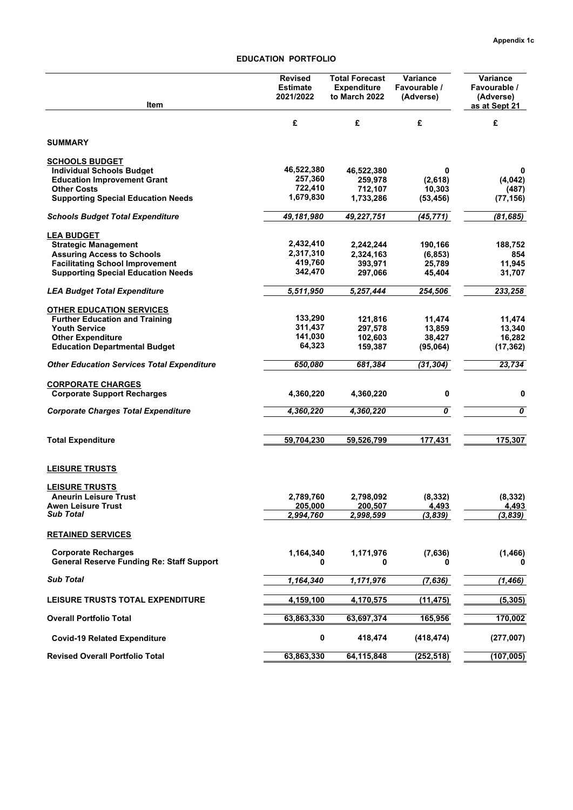# **EDUCATION PORTFOLIO**

| £<br>£<br>£<br>£<br><b>SUMMARY</b><br><b>SCHOOLS BUDGET</b><br>46,522,380<br><b>Individual Schools Budget</b><br>46,522,380<br>0<br>0<br>257,360<br><b>Education Improvement Grant</b><br>259,978<br>(2,618)<br>(4,042)<br>722,410<br><b>Other Costs</b><br>712,107<br>10,303<br>(487)<br>1,679,830<br><b>Supporting Special Education Needs</b><br>1,733,286<br>(53, 456)<br>(77, 156)<br>49,181,980<br>49,227,751<br>(45,771)<br>(81, 685)<br>Schools Budget Total Expenditure<br><b>LEA BUDGET</b><br>2,432,410<br><b>Strategic Management</b><br>2,242,244<br>190,166<br>188,752<br>2,317,310<br><b>Assuring Access to Schools</b><br>2,324,163<br>(6, 853)<br>854<br>419,760<br><b>Facilitating School Improvement</b><br>393,971<br>25,789<br>11,945<br>342,470<br><b>Supporting Special Education Needs</b><br>31,707<br>297,066<br>45,404<br>5,511,950<br>233,258<br><b>LEA Budget Total Expenditure</b><br>5,257,444<br>254,506<br><b>OTHER EDUCATION SERVICES</b><br>133,290<br>121,816<br><b>Further Education and Training</b><br>11,474<br>11,474<br>311,437<br><b>Youth Service</b><br>297,578<br>13,859<br>13,340<br>141,030<br>16,282<br><b>Other Expenditure</b><br>102,603<br>38,427<br>64,323<br><b>Education Departmental Budget</b><br>159,387<br>(95,064)<br>(17, 362)<br>23,734<br><b>Other Education Services Total Expenditure</b><br>650,080<br>681,384<br>(31, 304)<br><b>CORPORATE CHARGES</b><br>0<br>0<br><b>Corporate Support Recharges</b><br>4,360,220<br>4,360,220<br>$\overline{\boldsymbol{\mathfrak{o}}}$<br>$\overline{\boldsymbol{\theta}}$<br><b>Corporate Charges Total Expenditure</b><br>4,360,220<br>4,360,220<br>59,704,230<br>177,431<br>175,307<br><b>Total Expenditure</b><br>59,526,799<br><b>LEISURE TRUSTS</b><br><b>LEISURE TRUSTS</b><br>(8, 332)<br>(8, 332)<br><b>Aneurin Leisure Trust</b><br>2,789,760<br>2,798,092<br><b>Awen Leisure Trust</b><br>205,000<br>200,507<br>4,493<br>4,493<br><b>Sub Total</b><br>2,994,760<br>2,998,599<br>(3,839)<br>(3,839)<br><b>RETAINED SERVICES</b><br><b>Corporate Recharges</b><br>1,164,340<br>(7,636)<br>1,171,976<br>(1, 466)<br><b>General Reserve Funding Re: Staff Support</b><br>0<br>0<br>0<br><b>Sub Total</b><br>1,164,340<br>1,171,976<br>(7,636)<br>(1, 466)<br>LEISURE TRUSTS TOTAL EXPENDITURE<br>4,159,100<br>4,170,575<br>(11, 475)<br>(5,305)<br><b>Overall Portfolio Total</b><br>63,863,330<br>165,956<br>170,002<br>63,697,374<br>0<br>418,474<br>(418, 474)<br>(277,007)<br><b>Covid-19 Related Expenditure</b><br><b>Revised Overall Portfolio Total</b><br>63,863,330<br>(107, 005)<br>64,115,848<br>(252, 518) | Item | Revised<br><b>Estimate</b><br>2021/2022 | <b>Total Forecast</b><br><b>Expenditure</b><br>to March 2022 | Variance<br>Favourable /<br>(Adverse) | Variance<br>Favourable /<br>(Adverse)<br>as at Sept 21 |
|----------------------------------------------------------------------------------------------------------------------------------------------------------------------------------------------------------------------------------------------------------------------------------------------------------------------------------------------------------------------------------------------------------------------------------------------------------------------------------------------------------------------------------------------------------------------------------------------------------------------------------------------------------------------------------------------------------------------------------------------------------------------------------------------------------------------------------------------------------------------------------------------------------------------------------------------------------------------------------------------------------------------------------------------------------------------------------------------------------------------------------------------------------------------------------------------------------------------------------------------------------------------------------------------------------------------------------------------------------------------------------------------------------------------------------------------------------------------------------------------------------------------------------------------------------------------------------------------------------------------------------------------------------------------------------------------------------------------------------------------------------------------------------------------------------------------------------------------------------------------------------------------------------------------------------------------------------------------------------------------------------------------------------------------------------------------------------------------------------------------------------------------------------------------------------------------------------------------------------------------------------------------------------------------------------------------------------------------------------------------------------------------------------------------------------------------------------------------------------------------------------------------------------------------------------------------------------------------------------------------------------------|------|-----------------------------------------|--------------------------------------------------------------|---------------------------------------|--------------------------------------------------------|
|                                                                                                                                                                                                                                                                                                                                                                                                                                                                                                                                                                                                                                                                                                                                                                                                                                                                                                                                                                                                                                                                                                                                                                                                                                                                                                                                                                                                                                                                                                                                                                                                                                                                                                                                                                                                                                                                                                                                                                                                                                                                                                                                                                                                                                                                                                                                                                                                                                                                                                                                                                                                                                        |      |                                         |                                                              |                                       |                                                        |
|                                                                                                                                                                                                                                                                                                                                                                                                                                                                                                                                                                                                                                                                                                                                                                                                                                                                                                                                                                                                                                                                                                                                                                                                                                                                                                                                                                                                                                                                                                                                                                                                                                                                                                                                                                                                                                                                                                                                                                                                                                                                                                                                                                                                                                                                                                                                                                                                                                                                                                                                                                                                                                        |      |                                         |                                                              |                                       |                                                        |
|                                                                                                                                                                                                                                                                                                                                                                                                                                                                                                                                                                                                                                                                                                                                                                                                                                                                                                                                                                                                                                                                                                                                                                                                                                                                                                                                                                                                                                                                                                                                                                                                                                                                                                                                                                                                                                                                                                                                                                                                                                                                                                                                                                                                                                                                                                                                                                                                                                                                                                                                                                                                                                        |      |                                         |                                                              |                                       |                                                        |
|                                                                                                                                                                                                                                                                                                                                                                                                                                                                                                                                                                                                                                                                                                                                                                                                                                                                                                                                                                                                                                                                                                                                                                                                                                                                                                                                                                                                                                                                                                                                                                                                                                                                                                                                                                                                                                                                                                                                                                                                                                                                                                                                                                                                                                                                                                                                                                                                                                                                                                                                                                                                                                        |      |                                         |                                                              |                                       |                                                        |
|                                                                                                                                                                                                                                                                                                                                                                                                                                                                                                                                                                                                                                                                                                                                                                                                                                                                                                                                                                                                                                                                                                                                                                                                                                                                                                                                                                                                                                                                                                                                                                                                                                                                                                                                                                                                                                                                                                                                                                                                                                                                                                                                                                                                                                                                                                                                                                                                                                                                                                                                                                                                                                        |      |                                         |                                                              |                                       |                                                        |
|                                                                                                                                                                                                                                                                                                                                                                                                                                                                                                                                                                                                                                                                                                                                                                                                                                                                                                                                                                                                                                                                                                                                                                                                                                                                                                                                                                                                                                                                                                                                                                                                                                                                                                                                                                                                                                                                                                                                                                                                                                                                                                                                                                                                                                                                                                                                                                                                                                                                                                                                                                                                                                        |      |                                         |                                                              |                                       |                                                        |
|                                                                                                                                                                                                                                                                                                                                                                                                                                                                                                                                                                                                                                                                                                                                                                                                                                                                                                                                                                                                                                                                                                                                                                                                                                                                                                                                                                                                                                                                                                                                                                                                                                                                                                                                                                                                                                                                                                                                                                                                                                                                                                                                                                                                                                                                                                                                                                                                                                                                                                                                                                                                                                        |      |                                         |                                                              |                                       |                                                        |
|                                                                                                                                                                                                                                                                                                                                                                                                                                                                                                                                                                                                                                                                                                                                                                                                                                                                                                                                                                                                                                                                                                                                                                                                                                                                                                                                                                                                                                                                                                                                                                                                                                                                                                                                                                                                                                                                                                                                                                                                                                                                                                                                                                                                                                                                                                                                                                                                                                                                                                                                                                                                                                        |      |                                         |                                                              |                                       |                                                        |
|                                                                                                                                                                                                                                                                                                                                                                                                                                                                                                                                                                                                                                                                                                                                                                                                                                                                                                                                                                                                                                                                                                                                                                                                                                                                                                                                                                                                                                                                                                                                                                                                                                                                                                                                                                                                                                                                                                                                                                                                                                                                                                                                                                                                                                                                                                                                                                                                                                                                                                                                                                                                                                        |      |                                         |                                                              |                                       |                                                        |
|                                                                                                                                                                                                                                                                                                                                                                                                                                                                                                                                                                                                                                                                                                                                                                                                                                                                                                                                                                                                                                                                                                                                                                                                                                                                                                                                                                                                                                                                                                                                                                                                                                                                                                                                                                                                                                                                                                                                                                                                                                                                                                                                                                                                                                                                                                                                                                                                                                                                                                                                                                                                                                        |      |                                         |                                                              |                                       |                                                        |
|                                                                                                                                                                                                                                                                                                                                                                                                                                                                                                                                                                                                                                                                                                                                                                                                                                                                                                                                                                                                                                                                                                                                                                                                                                                                                                                                                                                                                                                                                                                                                                                                                                                                                                                                                                                                                                                                                                                                                                                                                                                                                                                                                                                                                                                                                                                                                                                                                                                                                                                                                                                                                                        |      |                                         |                                                              |                                       |                                                        |
|                                                                                                                                                                                                                                                                                                                                                                                                                                                                                                                                                                                                                                                                                                                                                                                                                                                                                                                                                                                                                                                                                                                                                                                                                                                                                                                                                                                                                                                                                                                                                                                                                                                                                                                                                                                                                                                                                                                                                                                                                                                                                                                                                                                                                                                                                                                                                                                                                                                                                                                                                                                                                                        |      |                                         |                                                              |                                       |                                                        |
|                                                                                                                                                                                                                                                                                                                                                                                                                                                                                                                                                                                                                                                                                                                                                                                                                                                                                                                                                                                                                                                                                                                                                                                                                                                                                                                                                                                                                                                                                                                                                                                                                                                                                                                                                                                                                                                                                                                                                                                                                                                                                                                                                                                                                                                                                                                                                                                                                                                                                                                                                                                                                                        |      |                                         |                                                              |                                       |                                                        |
|                                                                                                                                                                                                                                                                                                                                                                                                                                                                                                                                                                                                                                                                                                                                                                                                                                                                                                                                                                                                                                                                                                                                                                                                                                                                                                                                                                                                                                                                                                                                                                                                                                                                                                                                                                                                                                                                                                                                                                                                                                                                                                                                                                                                                                                                                                                                                                                                                                                                                                                                                                                                                                        |      |                                         |                                                              |                                       |                                                        |
|                                                                                                                                                                                                                                                                                                                                                                                                                                                                                                                                                                                                                                                                                                                                                                                                                                                                                                                                                                                                                                                                                                                                                                                                                                                                                                                                                                                                                                                                                                                                                                                                                                                                                                                                                                                                                                                                                                                                                                                                                                                                                                                                                                                                                                                                                                                                                                                                                                                                                                                                                                                                                                        |      |                                         |                                                              |                                       |                                                        |
|                                                                                                                                                                                                                                                                                                                                                                                                                                                                                                                                                                                                                                                                                                                                                                                                                                                                                                                                                                                                                                                                                                                                                                                                                                                                                                                                                                                                                                                                                                                                                                                                                                                                                                                                                                                                                                                                                                                                                                                                                                                                                                                                                                                                                                                                                                                                                                                                                                                                                                                                                                                                                                        |      |                                         |                                                              |                                       |                                                        |
|                                                                                                                                                                                                                                                                                                                                                                                                                                                                                                                                                                                                                                                                                                                                                                                                                                                                                                                                                                                                                                                                                                                                                                                                                                                                                                                                                                                                                                                                                                                                                                                                                                                                                                                                                                                                                                                                                                                                                                                                                                                                                                                                                                                                                                                                                                                                                                                                                                                                                                                                                                                                                                        |      |                                         |                                                              |                                       |                                                        |
|                                                                                                                                                                                                                                                                                                                                                                                                                                                                                                                                                                                                                                                                                                                                                                                                                                                                                                                                                                                                                                                                                                                                                                                                                                                                                                                                                                                                                                                                                                                                                                                                                                                                                                                                                                                                                                                                                                                                                                                                                                                                                                                                                                                                                                                                                                                                                                                                                                                                                                                                                                                                                                        |      |                                         |                                                              |                                       |                                                        |
|                                                                                                                                                                                                                                                                                                                                                                                                                                                                                                                                                                                                                                                                                                                                                                                                                                                                                                                                                                                                                                                                                                                                                                                                                                                                                                                                                                                                                                                                                                                                                                                                                                                                                                                                                                                                                                                                                                                                                                                                                                                                                                                                                                                                                                                                                                                                                                                                                                                                                                                                                                                                                                        |      |                                         |                                                              |                                       |                                                        |
|                                                                                                                                                                                                                                                                                                                                                                                                                                                                                                                                                                                                                                                                                                                                                                                                                                                                                                                                                                                                                                                                                                                                                                                                                                                                                                                                                                                                                                                                                                                                                                                                                                                                                                                                                                                                                                                                                                                                                                                                                                                                                                                                                                                                                                                                                                                                                                                                                                                                                                                                                                                                                                        |      |                                         |                                                              |                                       |                                                        |
|                                                                                                                                                                                                                                                                                                                                                                                                                                                                                                                                                                                                                                                                                                                                                                                                                                                                                                                                                                                                                                                                                                                                                                                                                                                                                                                                                                                                                                                                                                                                                                                                                                                                                                                                                                                                                                                                                                                                                                                                                                                                                                                                                                                                                                                                                                                                                                                                                                                                                                                                                                                                                                        |      |                                         |                                                              |                                       |                                                        |
|                                                                                                                                                                                                                                                                                                                                                                                                                                                                                                                                                                                                                                                                                                                                                                                                                                                                                                                                                                                                                                                                                                                                                                                                                                                                                                                                                                                                                                                                                                                                                                                                                                                                                                                                                                                                                                                                                                                                                                                                                                                                                                                                                                                                                                                                                                                                                                                                                                                                                                                                                                                                                                        |      |                                         |                                                              |                                       |                                                        |
|                                                                                                                                                                                                                                                                                                                                                                                                                                                                                                                                                                                                                                                                                                                                                                                                                                                                                                                                                                                                                                                                                                                                                                                                                                                                                                                                                                                                                                                                                                                                                                                                                                                                                                                                                                                                                                                                                                                                                                                                                                                                                                                                                                                                                                                                                                                                                                                                                                                                                                                                                                                                                                        |      |                                         |                                                              |                                       |                                                        |
|                                                                                                                                                                                                                                                                                                                                                                                                                                                                                                                                                                                                                                                                                                                                                                                                                                                                                                                                                                                                                                                                                                                                                                                                                                                                                                                                                                                                                                                                                                                                                                                                                                                                                                                                                                                                                                                                                                                                                                                                                                                                                                                                                                                                                                                                                                                                                                                                                                                                                                                                                                                                                                        |      |                                         |                                                              |                                       |                                                        |
|                                                                                                                                                                                                                                                                                                                                                                                                                                                                                                                                                                                                                                                                                                                                                                                                                                                                                                                                                                                                                                                                                                                                                                                                                                                                                                                                                                                                                                                                                                                                                                                                                                                                                                                                                                                                                                                                                                                                                                                                                                                                                                                                                                                                                                                                                                                                                                                                                                                                                                                                                                                                                                        |      |                                         |                                                              |                                       |                                                        |
|                                                                                                                                                                                                                                                                                                                                                                                                                                                                                                                                                                                                                                                                                                                                                                                                                                                                                                                                                                                                                                                                                                                                                                                                                                                                                                                                                                                                                                                                                                                                                                                                                                                                                                                                                                                                                                                                                                                                                                                                                                                                                                                                                                                                                                                                                                                                                                                                                                                                                                                                                                                                                                        |      |                                         |                                                              |                                       |                                                        |
|                                                                                                                                                                                                                                                                                                                                                                                                                                                                                                                                                                                                                                                                                                                                                                                                                                                                                                                                                                                                                                                                                                                                                                                                                                                                                                                                                                                                                                                                                                                                                                                                                                                                                                                                                                                                                                                                                                                                                                                                                                                                                                                                                                                                                                                                                                                                                                                                                                                                                                                                                                                                                                        |      |                                         |                                                              |                                       |                                                        |
|                                                                                                                                                                                                                                                                                                                                                                                                                                                                                                                                                                                                                                                                                                                                                                                                                                                                                                                                                                                                                                                                                                                                                                                                                                                                                                                                                                                                                                                                                                                                                                                                                                                                                                                                                                                                                                                                                                                                                                                                                                                                                                                                                                                                                                                                                                                                                                                                                                                                                                                                                                                                                                        |      |                                         |                                                              |                                       |                                                        |
|                                                                                                                                                                                                                                                                                                                                                                                                                                                                                                                                                                                                                                                                                                                                                                                                                                                                                                                                                                                                                                                                                                                                                                                                                                                                                                                                                                                                                                                                                                                                                                                                                                                                                                                                                                                                                                                                                                                                                                                                                                                                                                                                                                                                                                                                                                                                                                                                                                                                                                                                                                                                                                        |      |                                         |                                                              |                                       |                                                        |
|                                                                                                                                                                                                                                                                                                                                                                                                                                                                                                                                                                                                                                                                                                                                                                                                                                                                                                                                                                                                                                                                                                                                                                                                                                                                                                                                                                                                                                                                                                                                                                                                                                                                                                                                                                                                                                                                                                                                                                                                                                                                                                                                                                                                                                                                                                                                                                                                                                                                                                                                                                                                                                        |      |                                         |                                                              |                                       |                                                        |
|                                                                                                                                                                                                                                                                                                                                                                                                                                                                                                                                                                                                                                                                                                                                                                                                                                                                                                                                                                                                                                                                                                                                                                                                                                                                                                                                                                                                                                                                                                                                                                                                                                                                                                                                                                                                                                                                                                                                                                                                                                                                                                                                                                                                                                                                                                                                                                                                                                                                                                                                                                                                                                        |      |                                         |                                                              |                                       |                                                        |
|                                                                                                                                                                                                                                                                                                                                                                                                                                                                                                                                                                                                                                                                                                                                                                                                                                                                                                                                                                                                                                                                                                                                                                                                                                                                                                                                                                                                                                                                                                                                                                                                                                                                                                                                                                                                                                                                                                                                                                                                                                                                                                                                                                                                                                                                                                                                                                                                                                                                                                                                                                                                                                        |      |                                         |                                                              |                                       |                                                        |
|                                                                                                                                                                                                                                                                                                                                                                                                                                                                                                                                                                                                                                                                                                                                                                                                                                                                                                                                                                                                                                                                                                                                                                                                                                                                                                                                                                                                                                                                                                                                                                                                                                                                                                                                                                                                                                                                                                                                                                                                                                                                                                                                                                                                                                                                                                                                                                                                                                                                                                                                                                                                                                        |      |                                         |                                                              |                                       |                                                        |
|                                                                                                                                                                                                                                                                                                                                                                                                                                                                                                                                                                                                                                                                                                                                                                                                                                                                                                                                                                                                                                                                                                                                                                                                                                                                                                                                                                                                                                                                                                                                                                                                                                                                                                                                                                                                                                                                                                                                                                                                                                                                                                                                                                                                                                                                                                                                                                                                                                                                                                                                                                                                                                        |      |                                         |                                                              |                                       |                                                        |
|                                                                                                                                                                                                                                                                                                                                                                                                                                                                                                                                                                                                                                                                                                                                                                                                                                                                                                                                                                                                                                                                                                                                                                                                                                                                                                                                                                                                                                                                                                                                                                                                                                                                                                                                                                                                                                                                                                                                                                                                                                                                                                                                                                                                                                                                                                                                                                                                                                                                                                                                                                                                                                        |      |                                         |                                                              |                                       |                                                        |
|                                                                                                                                                                                                                                                                                                                                                                                                                                                                                                                                                                                                                                                                                                                                                                                                                                                                                                                                                                                                                                                                                                                                                                                                                                                                                                                                                                                                                                                                                                                                                                                                                                                                                                                                                                                                                                                                                                                                                                                                                                                                                                                                                                                                                                                                                                                                                                                                                                                                                                                                                                                                                                        |      |                                         |                                                              |                                       |                                                        |
|                                                                                                                                                                                                                                                                                                                                                                                                                                                                                                                                                                                                                                                                                                                                                                                                                                                                                                                                                                                                                                                                                                                                                                                                                                                                                                                                                                                                                                                                                                                                                                                                                                                                                                                                                                                                                                                                                                                                                                                                                                                                                                                                                                                                                                                                                                                                                                                                                                                                                                                                                                                                                                        |      |                                         |                                                              |                                       |                                                        |
|                                                                                                                                                                                                                                                                                                                                                                                                                                                                                                                                                                                                                                                                                                                                                                                                                                                                                                                                                                                                                                                                                                                                                                                                                                                                                                                                                                                                                                                                                                                                                                                                                                                                                                                                                                                                                                                                                                                                                                                                                                                                                                                                                                                                                                                                                                                                                                                                                                                                                                                                                                                                                                        |      |                                         |                                                              |                                       |                                                        |
|                                                                                                                                                                                                                                                                                                                                                                                                                                                                                                                                                                                                                                                                                                                                                                                                                                                                                                                                                                                                                                                                                                                                                                                                                                                                                                                                                                                                                                                                                                                                                                                                                                                                                                                                                                                                                                                                                                                                                                                                                                                                                                                                                                                                                                                                                                                                                                                                                                                                                                                                                                                                                                        |      |                                         |                                                              |                                       |                                                        |
|                                                                                                                                                                                                                                                                                                                                                                                                                                                                                                                                                                                                                                                                                                                                                                                                                                                                                                                                                                                                                                                                                                                                                                                                                                                                                                                                                                                                                                                                                                                                                                                                                                                                                                                                                                                                                                                                                                                                                                                                                                                                                                                                                                                                                                                                                                                                                                                                                                                                                                                                                                                                                                        |      |                                         |                                                              |                                       |                                                        |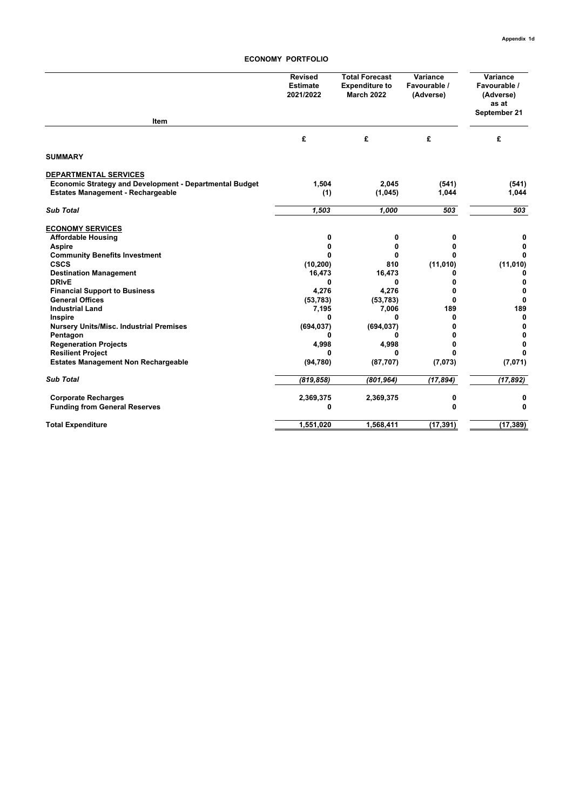#### **ECONOMY PORTFOLIO**

| Item                                                    | <b>Revised</b><br><b>Estimate</b><br>2021/2022 | <b>Total Forecast</b><br><b>Expenditure to</b><br><b>March 2022</b> | Variance<br>Favourable /<br>(Adverse) | Variance<br>Favourable /<br>(Adverse)<br>as at<br>September 21 |
|---------------------------------------------------------|------------------------------------------------|---------------------------------------------------------------------|---------------------------------------|----------------------------------------------------------------|
|                                                         | £                                              | £                                                                   | £                                     | £                                                              |
| <b>SUMMARY</b>                                          |                                                |                                                                     |                                       |                                                                |
| <b>DEPARTMENTAL SERVICES</b>                            |                                                |                                                                     |                                       |                                                                |
| Economic Strategy and Development - Departmental Budget | 1,504                                          | 2,045                                                               | (541)                                 | (541)                                                          |
| <b>Estates Management - Rechargeable</b>                | (1)                                            | (1,045)                                                             | 1,044                                 | 1,044                                                          |
| <b>Sub Total</b>                                        | 1,503                                          | 1,000                                                               | 503                                   | 503                                                            |
| <b>ECONOMY SERVICES</b>                                 |                                                |                                                                     |                                       |                                                                |
| <b>Affordable Housing</b>                               | 0                                              | 0                                                                   | 0                                     | 0                                                              |
| <b>Aspire</b>                                           | 0                                              | 0                                                                   | 0                                     | $\mathbf 0$                                                    |
| <b>Community Benefits Investment</b>                    | O                                              | 0                                                                   | U                                     | $\Omega$                                                       |
| <b>CSCS</b>                                             | (10, 200)                                      | 810                                                                 | (11, 010)                             | (11,010)                                                       |
| <b>Destination Management</b>                           | 16,473                                         | 16,473                                                              | 0                                     | 0                                                              |
| <b>DRIvE</b>                                            | 0                                              | 0                                                                   | 0                                     | 0                                                              |
| <b>Financial Support to Business</b>                    | 4,276                                          | 4,276                                                               | 0                                     | $\mathbf 0$                                                    |
| <b>General Offices</b>                                  | (53, 783)                                      | (53, 783)                                                           | $\bf{0}$                              | $\Omega$                                                       |
| <b>Industrial Land</b>                                  | 7,195                                          | 7,006                                                               | 189                                   | 189                                                            |
| Inspire                                                 | 0                                              | 0                                                                   | 0                                     | 0                                                              |
| <b>Nursery Units/Misc. Industrial Premises</b>          | (694, 037)                                     | (694, 037)                                                          | 0                                     | 0                                                              |
| Pentagon                                                | 0                                              | 0                                                                   | n                                     | 0                                                              |
| <b>Regeneration Projects</b>                            | 4,998                                          | 4,998                                                               | 0                                     | $\mathbf 0$                                                    |
| <b>Resilient Project</b>                                | 0                                              | 0                                                                   | <sup>0</sup>                          | $\Omega$                                                       |
| <b>Estates Management Non Rechargeable</b>              | (94, 780)                                      | (87, 707)                                                           | (7,073)                               | (7,071)                                                        |
| <b>Sub Total</b>                                        | (819, 858)                                     | (801, 964)                                                          | (17, 894)                             | (17, 892)                                                      |
| <b>Corporate Recharges</b>                              | 2,369,375                                      | 2,369,375                                                           | 0                                     | 0                                                              |
| <b>Funding from General Reserves</b>                    | 0                                              |                                                                     | $\bf{0}$                              | 0                                                              |
| <b>Total Expenditure</b>                                | 1,551,020                                      | 1,568,411                                                           | (17, 391)                             | (17, 389)                                                      |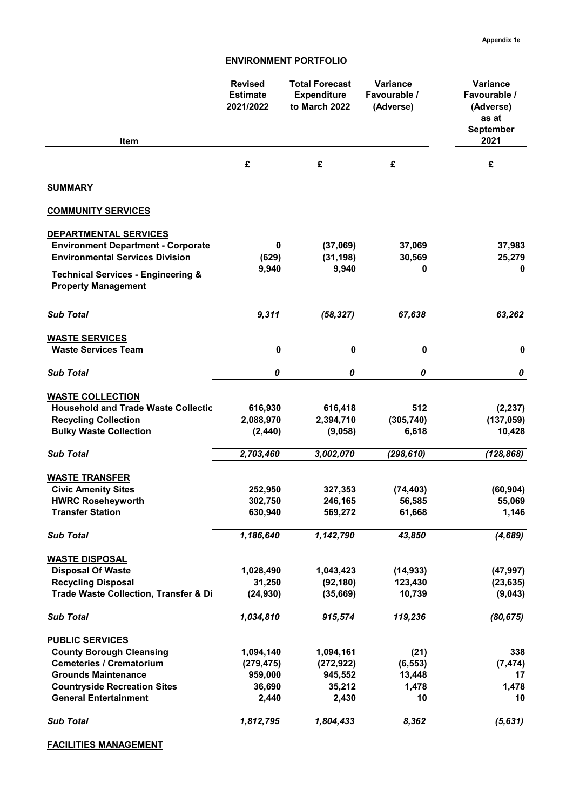| Item                                                                                                                                                                                              | <b>Total Forecast</b><br><b>Revised</b><br><b>Estimate</b><br><b>Expenditure</b><br>2021/2022<br>to March 2022 |                                                       | Variance<br>Favourable /<br>(Adverse)     | Variance<br>Favourable /<br>(Adverse)<br>as at<br>September<br>2021 |  |
|---------------------------------------------------------------------------------------------------------------------------------------------------------------------------------------------------|----------------------------------------------------------------------------------------------------------------|-------------------------------------------------------|-------------------------------------------|---------------------------------------------------------------------|--|
|                                                                                                                                                                                                   | £                                                                                                              | £                                                     | £                                         | £                                                                   |  |
| <b>SUMMARY</b>                                                                                                                                                                                    |                                                                                                                |                                                       |                                           |                                                                     |  |
| <b>COMMUNITY SERVICES</b>                                                                                                                                                                         |                                                                                                                |                                                       |                                           |                                                                     |  |
| DEPARTMENTAL SERVICES<br><b>Environment Department - Corporate</b><br><b>Environmental Services Division</b><br><b>Technical Services - Engineering &amp;</b><br><b>Property Management</b>       | 0<br>(629)<br>9,940                                                                                            | (37,069)<br>(31, 198)<br>9,940                        | 37,069<br>30,569<br>0                     | 37,983<br>25,279<br>0                                               |  |
| <b>Sub Total</b>                                                                                                                                                                                  | 9,311                                                                                                          | (58, 327)                                             | 67,638                                    | 63,262                                                              |  |
| <b>WASTE SERVICES</b><br><b>Waste Services Team</b>                                                                                                                                               | $\pmb{0}$                                                                                                      | $\pmb{0}$                                             | $\pmb{0}$                                 | $\pmb{0}$                                                           |  |
| <b>Sub Total</b>                                                                                                                                                                                  | 0                                                                                                              | 0                                                     | 0                                         | 0                                                                   |  |
| <b>WASTE COLLECTION</b><br><b>Household and Trade Waste Collectio</b><br><b>Recycling Collection</b><br><b>Bulky Waste Collection</b>                                                             | 616,930<br>2,088,970<br>(2, 440)                                                                               | 616,418<br>2,394,710<br>(9,058)                       | 512<br>(305, 740)<br>6,618                | (2, 237)<br>(137, 059)<br>10,428                                    |  |
| <b>Sub Total</b>                                                                                                                                                                                  | 2,703,460                                                                                                      | 3,002,070                                             | (298, 610)                                | (128, 868)                                                          |  |
| <b>WASTE TRANSFER</b><br><b>Civic Amenity Sites</b><br><b>HWRC Roseheyworth</b><br><b>Transfer Station</b>                                                                                        | 252,950<br>302,750<br>630,940                                                                                  | 327,353<br>246,165<br>569,272                         | (74, 403)<br>56,585<br>61,668             | (60, 904)<br>55,069<br>1,146                                        |  |
| <b>Sub Total</b>                                                                                                                                                                                  | 1,186,640                                                                                                      | 1,142,790                                             | 43,850                                    | (4, 689)                                                            |  |
| <b>WASTE DISPOSAL</b><br><b>Disposal Of Waste</b><br><b>Recycling Disposal</b><br>Trade Waste Collection, Transfer & Di                                                                           | 1,028,490<br>31,250<br>(24, 930)                                                                               | 1,043,423<br>(92, 180)<br>(35, 669)                   | (14, 933)<br>123,430<br>10,739            | (47, 997)<br>(23, 635)<br>(9,043)                                   |  |
| <b>Sub Total</b>                                                                                                                                                                                  | 1,034,810                                                                                                      | 915,574                                               | 119,236                                   | (80, 675)                                                           |  |
| <b>PUBLIC SERVICES</b><br><b>County Borough Cleansing</b><br><b>Cemeteries / Crematorium</b><br><b>Grounds Maintenance</b><br><b>Countryside Recreation Sites</b><br><b>General Entertainment</b> | 1,094,140<br>(279, 475)<br>959,000<br>36,690<br>2,440                                                          | 1,094,161<br>(272, 922)<br>945,552<br>35,212<br>2,430 | (21)<br>(6, 553)<br>13,448<br>1,478<br>10 | 338<br>(7, 474)<br>17<br>1,478<br>10                                |  |
| <b>Sub Total</b>                                                                                                                                                                                  | 1,812,795                                                                                                      | 1,804,433                                             | 8,362                                     | (5, 631)                                                            |  |

**FACILITIES MANAGEMENT**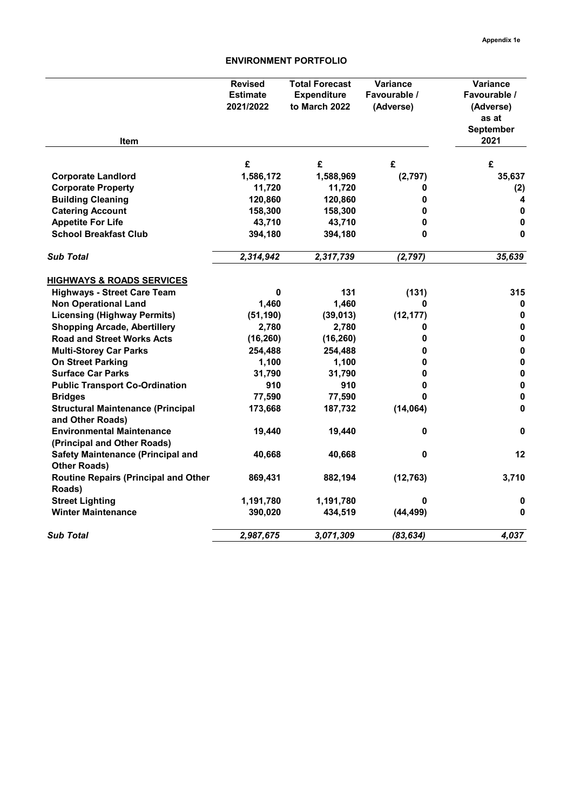| Item                                                            | <b>Revised</b><br><b>Estimate</b><br>2021/2022 | <b>Total Forecast</b><br><b>Expenditure</b><br>to March 2022 | Variance<br>Favourable /<br>(Adverse) | Variance<br>Favourable /<br>(Adverse)<br>as at<br>September<br>2021 |
|-----------------------------------------------------------------|------------------------------------------------|--------------------------------------------------------------|---------------------------------------|---------------------------------------------------------------------|
|                                                                 | £                                              | £                                                            | £                                     | £                                                                   |
| <b>Corporate Landlord</b>                                       | 1,586,172                                      | 1,588,969                                                    | (2,797)                               | 35,637                                                              |
| <b>Corporate Property</b>                                       | 11,720                                         | 11,720                                                       | 0                                     | (2)                                                                 |
| <b>Building Cleaning</b>                                        | 120,860                                        | 120,860                                                      | 0                                     | 4                                                                   |
| <b>Catering Account</b>                                         | 158,300                                        | 158,300                                                      | 0                                     | 0                                                                   |
| <b>Appetite For Life</b>                                        | 43,710                                         | 43,710                                                       | 0                                     | $\mathbf 0$                                                         |
| <b>School Breakfast Club</b>                                    | 394,180                                        | 394,180                                                      | 0                                     | 0                                                                   |
| <b>Sub Total</b>                                                | 2,314,942                                      | 2,317,739                                                    | (2, 797)                              | 35,639                                                              |
| <b>HIGHWAYS &amp; ROADS SERVICES</b>                            |                                                |                                                              |                                       |                                                                     |
| <b>Highways - Street Care Team</b>                              | 0                                              | 131                                                          | (131)                                 | 315                                                                 |
| <b>Non Operational Land</b>                                     | 1,460                                          | 1,460                                                        | 0                                     | 0                                                                   |
| <b>Licensing (Highway Permits)</b>                              | (51, 190)                                      | (39, 013)                                                    | (12, 177)                             | 0                                                                   |
| <b>Shopping Arcade, Abertillery</b>                             | 2,780                                          | 2,780                                                        | 0                                     | $\pmb{0}$                                                           |
| <b>Road and Street Works Acts</b>                               | (16, 260)                                      | (16, 260)                                                    | 0                                     | 0                                                                   |
| <b>Multi-Storey Car Parks</b>                                   | 254,488                                        | 254,488                                                      | 0                                     | $\mathbf{0}$                                                        |
| <b>On Street Parking</b>                                        | 1,100                                          | 1,100                                                        | 0                                     | $\mathbf 0$                                                         |
| <b>Surface Car Parks</b>                                        | 31,790                                         | 31,790                                                       | 0                                     | $\mathbf 0$                                                         |
| <b>Public Transport Co-Ordination</b>                           | 910                                            | 910                                                          | 0                                     | $\pmb{0}$                                                           |
| <b>Bridges</b>                                                  | 77,590                                         | 77,590                                                       | 0                                     | 0                                                                   |
| <b>Structural Maintenance (Principal</b><br>and Other Roads)    | 173,668                                        | 187,732                                                      | (14, 064)                             | 0                                                                   |
| <b>Environmental Maintenance</b><br>(Principal and Other Roads) | 19,440                                         | 19,440                                                       | 0                                     | 0                                                                   |
| <b>Safety Maintenance (Principal and</b><br><b>Other Roads)</b> | 40,668                                         | 40,668                                                       | 0                                     | 12                                                                  |
| <b>Routine Repairs (Principal and Other</b><br>Roads)           | 869,431                                        | 882,194                                                      | (12, 763)                             | 3,710                                                               |
| <b>Street Lighting</b>                                          | 1,191,780                                      | 1,191,780                                                    | 0                                     | 0                                                                   |
| <b>Winter Maintenance</b>                                       | 390,020                                        | 434,519                                                      | (44, 499)                             | $\bf{0}$                                                            |
| <b>Sub Total</b>                                                | 2,987,675                                      | 3,071,309                                                    | (83, 634)                             | 4,037                                                               |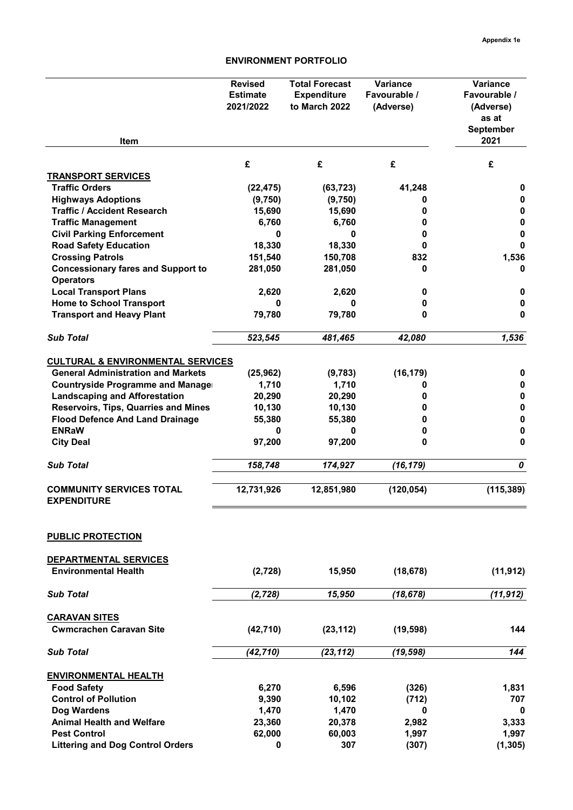|                                                                  | <b>Revised</b><br><b>Estimate</b><br>2021/2022 | <b>Total Forecast</b><br><b>Expenditure</b><br>to March 2022 | Variance<br>Favourable /<br>(Adverse) | Variance<br>Favourable /<br>(Adverse)<br>as at<br><b>September</b> |
|------------------------------------------------------------------|------------------------------------------------|--------------------------------------------------------------|---------------------------------------|--------------------------------------------------------------------|
| Item                                                             |                                                |                                                              |                                       | 2021                                                               |
|                                                                  | £                                              | £                                                            | £                                     | £                                                                  |
| <b>TRANSPORT SERVICES</b>                                        |                                                |                                                              |                                       |                                                                    |
| <b>Traffic Orders</b>                                            | (22, 475)                                      | (63, 723)                                                    | 41,248                                | 0                                                                  |
| <b>Highways Adoptions</b>                                        | (9,750)                                        | (9,750)                                                      | 0                                     | 0                                                                  |
| <b>Traffic / Accident Research</b>                               | 15,690                                         | 15,690                                                       | 0                                     | 0                                                                  |
| <b>Traffic Management</b>                                        | 6,760<br>0                                     | 6,760<br>0                                                   | 0<br>0                                | 0<br>0                                                             |
| <b>Civil Parking Enforcement</b><br><b>Road Safety Education</b> | 18,330                                         | 18,330                                                       | 0                                     | 0                                                                  |
| <b>Crossing Patrols</b>                                          | 151,540                                        | 150,708                                                      | 832                                   | 1,536                                                              |
| <b>Concessionary fares and Support to</b>                        | 281,050                                        | 281,050                                                      | 0                                     | 0                                                                  |
| <b>Operators</b>                                                 |                                                |                                                              |                                       |                                                                    |
| <b>Local Transport Plans</b>                                     | 2,620                                          | 2,620                                                        | 0                                     | 0                                                                  |
| <b>Home to School Transport</b>                                  | 0                                              | 0                                                            | 0                                     | 0                                                                  |
| <b>Transport and Heavy Plant</b>                                 | 79,780                                         | 79,780                                                       | 0                                     | 0                                                                  |
|                                                                  |                                                |                                                              |                                       |                                                                    |
| <b>Sub Total</b>                                                 | 523,545                                        | 481,465                                                      | 42,080                                | 1,536                                                              |
| <b>CULTURAL &amp; ENVIRONMENTAL SERVICES</b>                     |                                                |                                                              |                                       |                                                                    |
| <b>General Administration and Markets</b>                        | (25, 962)                                      | (9,783)                                                      | (16, 179)                             | 0                                                                  |
| <b>Countryside Programme and Manager</b>                         | 1,710                                          | 1,710                                                        | 0                                     | 0                                                                  |
| <b>Landscaping and Afforestation</b>                             | 20,290                                         | 20,290                                                       | 0                                     | 0                                                                  |
| Reservoirs, Tips, Quarries and Mines                             | 10,130                                         | 10,130                                                       | 0                                     | 0                                                                  |
| <b>Flood Defence And Land Drainage</b>                           | 55,380                                         | 55,380                                                       | 0                                     | 0                                                                  |
| <b>ENRaW</b>                                                     | 0                                              | 0                                                            | 0                                     | 0                                                                  |
| <b>City Deal</b>                                                 | 97,200                                         | 97,200                                                       | 0                                     | 0                                                                  |
| <b>Sub Total</b>                                                 | 158,748                                        | 174,927                                                      | (16, 179)                             | 0                                                                  |
| <b>COMMUNITY SERVICES TOTAL</b><br><b>EXPENDITURE</b>            | 12,731,926                                     | 12,851,980                                                   | (120, 054)                            | (115, 389)                                                         |
| <b>PUBLIC PROTECTION</b>                                         |                                                |                                                              |                                       |                                                                    |
| <b>DEPARTMENTAL SERVICES</b>                                     |                                                |                                                              |                                       |                                                                    |
| <b>Environmental Health</b>                                      | (2,728)                                        | 15,950                                                       | (18, 678)                             | (11, 912)                                                          |
| <b>Sub Total</b>                                                 | (2, 728)                                       | 15,950                                                       | (18, 678)                             | (11, 912)                                                          |
| <b>CARAVAN SITES</b>                                             |                                                |                                                              |                                       |                                                                    |
| <b>Cwmcrachen Caravan Site</b>                                   | (42, 710)                                      | (23, 112)                                                    | (19, 598)                             | 144                                                                |
| <b>Sub Total</b>                                                 | (42, 710)                                      | (23, 112)                                                    | (19, 598)                             | 144                                                                |
| <b>ENVIRONMENTAL HEALTH</b>                                      |                                                |                                                              |                                       |                                                                    |
| <b>Food Safety</b>                                               | 6,270                                          | 6,596                                                        | (326)                                 | 1,831                                                              |
| <b>Control of Pollution</b>                                      | 9,390                                          | 10,102                                                       | (712)                                 | 707                                                                |
| Dog Wardens                                                      | 1,470                                          | 1,470                                                        | 0                                     | 0                                                                  |
| <b>Animal Health and Welfare</b>                                 | 23,360                                         | 20,378                                                       | 2,982                                 | 3,333                                                              |
| <b>Pest Control</b>                                              | 62,000                                         | 60,003                                                       | 1,997                                 | 1,997                                                              |
| <b>Littering and Dog Control Orders</b>                          | 0                                              | 307                                                          | (307)                                 | (1, 305)                                                           |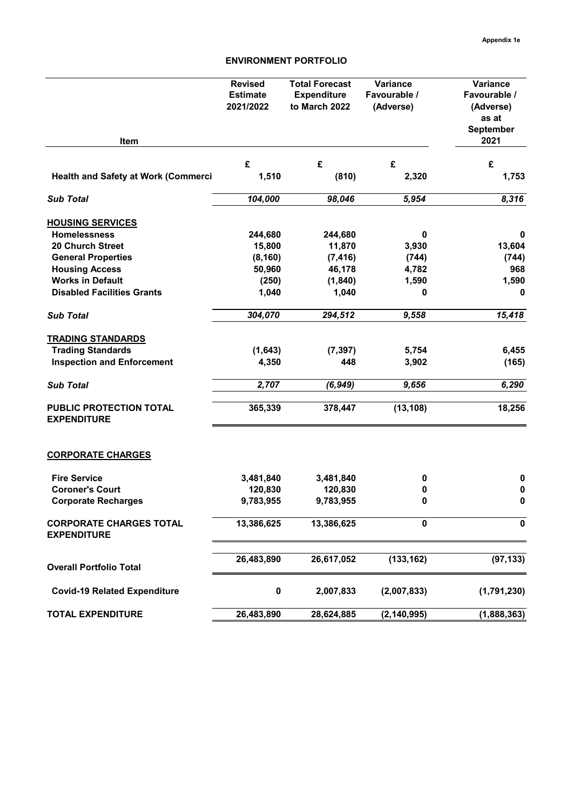| <b>Item</b>                                          | <b>Revised</b><br><b>Estimate</b><br>2021/2022 | <b>Total Forecast</b><br><b>Expenditure</b><br>to March 2022 | Variance<br>Favourable /<br>(Adverse) | Variance<br>Favourable /<br>(Adverse)<br>as at<br>September<br>2021 |
|------------------------------------------------------|------------------------------------------------|--------------------------------------------------------------|---------------------------------------|---------------------------------------------------------------------|
|                                                      | £                                              | £                                                            | £                                     |                                                                     |
| <b>Health and Safety at Work (Commerci</b>           | 1,510                                          | (810)                                                        | 2,320                                 | £<br>1,753                                                          |
| <b>Sub Total</b>                                     | 104,000                                        | 98,046                                                       | 5,954                                 | 8,316                                                               |
| <b>HOUSING SERVICES</b>                              |                                                |                                                              |                                       |                                                                     |
| <b>Homelessness</b>                                  | 244,680                                        | 244,680                                                      | 0                                     | 0                                                                   |
| <b>20 Church Street</b>                              | 15,800                                         | 11,870                                                       | 3,930                                 | 13,604                                                              |
| <b>General Properties</b>                            | (8, 160)                                       | (7, 416)                                                     | (744)                                 | (744)                                                               |
| <b>Housing Access</b>                                | 50,960                                         | 46,178                                                       | 4,782                                 | 968                                                                 |
| <b>Works in Default</b>                              | (250)                                          | (1, 840)                                                     | 1,590                                 | 1,590                                                               |
| <b>Disabled Facilities Grants</b>                    | 1,040                                          | 1,040                                                        | 0                                     | 0                                                                   |
| <b>Sub Total</b>                                     | 304,070                                        | 294,512                                                      | 9,558                                 | 15,418                                                              |
| <b>TRADING STANDARDS</b>                             |                                                |                                                              |                                       |                                                                     |
| <b>Trading Standards</b>                             | (1,643)                                        | (7, 397)                                                     | 5,754                                 | 6,455                                                               |
| <b>Inspection and Enforcement</b>                    | 4,350                                          | 448                                                          | 3,902                                 | (165)                                                               |
| <b>Sub Total</b>                                     | 2,707                                          | (6, 949)                                                     | 9,656                                 | 6,290                                                               |
| PUBLIC PROTECTION TOTAL<br><b>EXPENDITURE</b>        | 365,339                                        | 378,447                                                      | (13, 108)                             | 18,256                                                              |
| <b>CORPORATE CHARGES</b>                             |                                                |                                                              |                                       |                                                                     |
| <b>Fire Service</b>                                  | 3,481,840                                      | 3,481,840                                                    | 0                                     | $\pmb{0}$                                                           |
| <b>Coroner's Court</b>                               | 120,830                                        | 120,830                                                      | 0                                     | $\pmb{0}$                                                           |
| <b>Corporate Recharges</b>                           | 9,783,955                                      | 9,783,955                                                    | 0                                     | 0                                                                   |
| <b>CORPORATE CHARGES TOTAL</b><br><b>EXPENDITURE</b> | 13,386,625                                     | 13,386,625                                                   | 0                                     | 0                                                                   |
| <b>Overall Portfolio Total</b>                       | 26,483,890                                     | 26,617,052                                                   | (133, 162)                            | (97, 133)                                                           |
| <b>Covid-19 Related Expenditure</b>                  | $\pmb{0}$                                      | 2,007,833                                                    | (2,007,833)                           | (1,791,230)                                                         |
| <b>TOTAL EXPENDITURE</b>                             | 26,483,890                                     | 28,624,885                                                   | (2, 140, 995)                         | (1,888,363)                                                         |